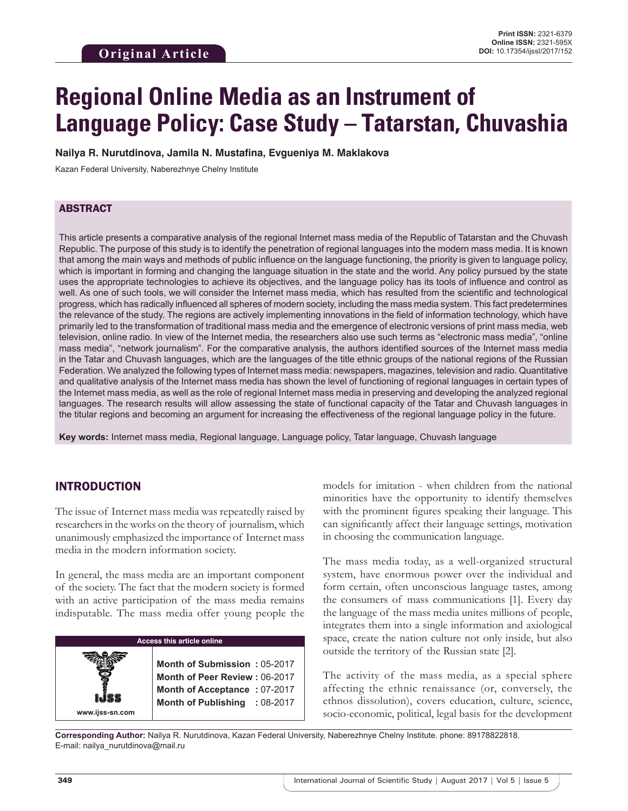# **Regional Online Media as an Instrument of Language Policy: Case Study – Tatarstan, Chuvashia**

**Nailya R. Nurutdinova, Jamila N. Mustafina, Evgueniya M. Maklakova**

Kazan Federal University, Naberezhnye Chelny Institute

#### ABSTRACT

This article presents a comparative analysis of the regional Internet mass media of the Republic of Tatarstan and the Chuvash Republic. The purpose of this study is to identify the penetration of regional languages into the modern mass media. It is known that among the main ways and methods of public influence on the language functioning, the priority is given to language policy, which is important in forming and changing the language situation in the state and the world. Any policy pursued by the state uses the appropriate technologies to achieve its objectives, and the language policy has its tools of influence and control as well. As one of such tools, we will consider the Internet mass media, which has resulted from the scientific and technological progress, which has radically influenced all spheres of modern society, including the mass media system. This fact predetermines the relevance of the study. The regions are actively implementing innovations in the field of information technology, which have primarily led to the transformation of traditional mass media and the emergence of electronic versions of print mass media, web television, online radio. In view of the Internet media, the researchers also use such terms as "electronic mass media", "online mass media", "network journalism". For the comparative analysis, the authors identified sources of the Internet mass media in the Tatar and Chuvash languages, which are the languages of the title ethnic groups of the national regions of the Russian Federation. We analyzed the following types of Internet mass media: newspapers, magazines, television and radio. Quantitative and qualitative analysis of the Internet mass media has shown the level of functioning of regional languages in certain types of the Internet mass media, as well as the role of regional Internet mass media in preserving and developing the analyzed regional languages. The research results will allow assessing the state of functional capacity of the Tatar and Chuvash languages in the titular regions and becoming an argument for increasing the effectiveness of the regional language policy in the future.

**Key words:** Internet mass media, Regional language, Language policy, Tatar language, Chuvash language

## INTRODUCTION

**www.ijss-sn.com**

The issue of Internet mass media was repeatedly raised by researchers in the works on the theory of journalism, which unanimously emphasized the importance of Internet mass media in the modern information society.

In general, the mass media are an important component of the society. The fact that the modern society is formed with an active participation of the mass media remains indisputable. The mass media offer young people the

#### **Access this article online**

**Month of Submission :** 05-2017 **Month of Peer Review :** 06-2017 **Month of Acceptance :** 07-2017 **Month of Publishing :** 08-2017 models for imitation - when children from the national minorities have the opportunity to identify themselves with the prominent figures speaking their language. This can significantly affect their language settings, motivation in choosing the communication language.

The mass media today, as a well-organized structural system, have enormous power over the individual and form certain, often unconscious language tastes, among the consumers of mass communications [1]. Every day the language of the mass media unites millions of people, integrates them into a single information and axiological space, create the nation culture not only inside, but also outside the territory of the Russian state [2].

The activity of the mass media, as a special sphere affecting the ethnic renaissance (or, conversely, the ethnos dissolution), covers education, culture, science, socio-economic, political, legal basis for the development

**Corresponding Author:** Nailya R. Nurutdinova, Kazan Federal University, Naberezhnye Chelny Institute. phone: 89178822818. E-mail: nailya\_nurutdinova@mail.ru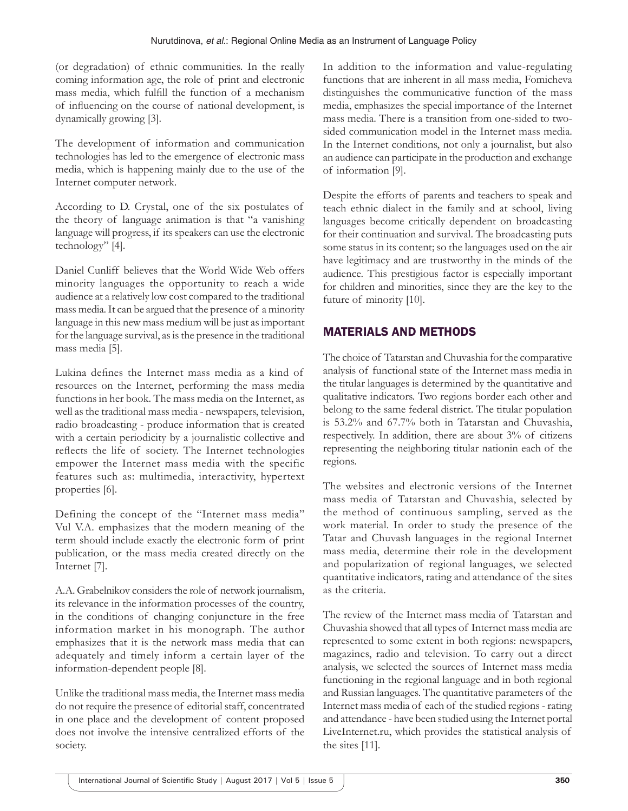(or degradation) of ethnic communities. In the really coming information age, the role of print and electronic mass media, which fulfill the function of a mechanism of influencing on the course of national development, is dynamically growing [3].

The development of information and communication technologies has led to the emergence of electronic mass media, which is happening mainly due to the use of the Internet computer network.

According to D. Crystal, one of the six postulates of the theory of language animation is that "a vanishing language will progress, if its speakers can use the electronic technology" [4].

Daniel Cunliff believes that the World Wide Web offers minority languages the opportunity to reach a wide audience at a relatively low cost compared to the traditional mass media. It can be argued that the presence of a minority language in this new mass medium will be just as important for the language survival, as is the presence in the traditional mass media [5].

Lukina defines the Internet mass media as a kind of resources on the Internet, performing the mass media functions in her book. The mass media on the Internet, as well as the traditional mass media - newspapers, television, radio broadcasting - produce information that is created with a certain periodicity by a journalistic collective and reflects the life of society. The Internet technologies empower the Internet mass media with the specific features such as: multimedia, interactivity, hypertext properties [6].

Defining the concept of the "Internet mass media" Vul V.A. emphasizes that the modern meaning of the term should include exactly the electronic form of print publication, or the mass media created directly on the Internet [7].

A.A. Grabelnikov considers the role of network journalism, its relevance in the information processes of the country, in the conditions of changing conjuncture in the free information market in his monograph. The author emphasizes that it is the network mass media that can adequately and timely inform a certain layer of the information-dependent people [8].

Unlike the traditional mass media, the Internet mass media do not require the presence of editorial staff, concentrated in one place and the development of content proposed does not involve the intensive centralized efforts of the society.

In addition to the information and value-regulating functions that are inherent in all mass media, Fomicheva distinguishes the communicative function of the mass media, emphasizes the special importance of the Internet mass media. There is a transition from one-sided to twosided communication model in the Internet mass media. In the Internet conditions, not only a journalist, but also an audience can participate in the production and exchange of information [9].

Despite the efforts of parents and teachers to speak and teach ethnic dialect in the family and at school, living languages become critically dependent on broadcasting for their continuation and survival. The broadcasting puts some status in its content; so the languages used on the air have legitimacy and are trustworthy in the minds of the audience. This prestigious factor is especially important for children and minorities, since they are the key to the future of minority [10].

# MATERIALS AND METHODS

The choice of Tatarstan and Chuvashia for the comparative analysis of functional state of the Internet mass media in the titular languages is determined by the quantitative and qualitative indicators. Two regions border each other and belong to the same federal district. The titular population is 53.2% and 67.7% both in Tatarstan and Chuvashia, respectively. In addition, there are about 3% of citizens representing the neighboring titular nationin each of the regions.

The websites and electronic versions of the Internet mass media of Tatarstan and Chuvashia, selected by the method of continuous sampling, served as the work material. In order to study the presence of the Tatar and Chuvash languages in the regional Internet mass media, determine their role in the development and popularization of regional languages, we selected quantitative indicators, rating and attendance of the sites as the criteria.

The review of the Internet mass media of Tatarstan and Chuvashia showed that all types of Internet mass media are represented to some extent in both regions: newspapers, magazines, radio and television. To carry out a direct analysis, we selected the sources of Internet mass media functioning in the regional language and in both regional and Russian languages. The quantitative parameters of the Internet mass media of each of the studied regions - rating and attendance - have been studied using the Internet portal LiveInternet.ru, which provides the statistical analysis of the sites [11].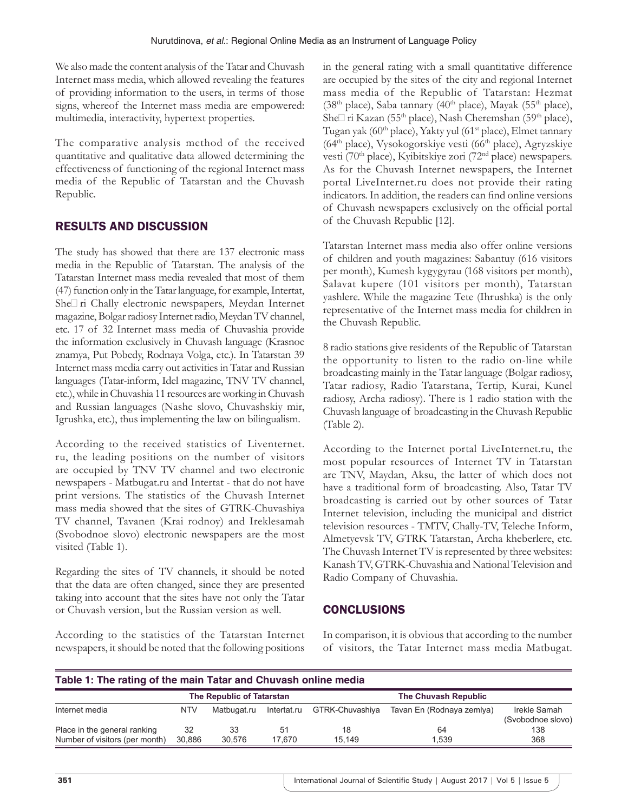We also made the content analysis of the Tatar and Chuvash Internet mass media, which allowed revealing the features of providing information to the users, in terms of those signs, whereof the Internet mass media are empowered: multimedia, interactivity, hypertext properties.

The comparative analysis method of the received quantitative and qualitative data allowed determining the effectiveness of functioning of the regional Internet mass media of the Republic of Tatarstan and the Chuvash Republic.

## RESULTS AND DISCUSSION

The study has showed that there are 137 electronic mass media in the Republic of Tatarstan. The analysis of the Tatarstan Internet mass media revealed that most of them (47) function only in the Tatar language, for example, Intertat, She $\Box$  ri Chally electronic newspapers, Meydan Internet magazine, Bolgar radiosy Internet radio, Meydan TV channel, etc. 17 of 32 Internet mass media of Chuvashia provide the information exclusively in Chuvash language (Krasnoe znamya, Put Pobedy, Rodnaya Volga, etc.). In Tatarstan 39 Internet mass media carry out activities in Tatar and Russian languages (Tatar-inform, Idel magazine, TNV TV channel, etc.), while in Chuvashia 11 resources are working in Chuvash and Russian languages (Nashe slovo, Chuvashskiy mir, Igrushka, etc.), thus implementing the law on bilingualism.

According to the received statistics of Liventernet. ru, the leading positions on the number of visitors are occupied by TNV TV channel and two electronic newspapers - Matbugat.ru and Intertat - that do not have print versions. The statistics of the Chuvash Internet mass media showed that the sites of GTRK-Chuvashiya TV channel, Tavanen (Krai rodnoy) and Ireklesamah (Svobodnoe slovo) electronic newspapers are the most visited (Table 1).

Regarding the sites of TV channels, it should be noted that the data are often changed, since they are presented taking into account that the sites have not only the Tatar or Chuvash version, but the Russian version as well.

According to the statistics of the Tatarstan Internet newspapers, it should be noted that the following positions in the general rating with a small quantitative difference are occupied by the sites of the city and regional Internet mass media of the Republic of Tatarstan: Hezmat (38<sup>th</sup> place), Saba tannary (40<sup>th</sup> place), Mayak (55<sup>th</sup> place), She∏ri Kazan (55<sup>th</sup> place), Nash Cheremshan (59<sup>th</sup> place), Tugan yak (60<sup>th</sup> place), Yakty yul (61<sup>st</sup> place), Elmet tannary  $(64<sup>th</sup>$  place), Vysokogorskiye vesti  $(66<sup>th</sup>$  place), Agryzskiye vesti (70<sup>th</sup> place), Kyibitskiye zori (72<sup>nd</sup> place) newspapers. As for the Chuvash Internet newspapers, the Internet portal LiveInternet.ru does not provide their rating indicators. In addition, the readers can find online versions of Chuvash newspapers exclusively on the official portal of the Chuvash Republic [12].

Tatarstan Internet mass media also offer online versions of children and youth magazines: Sabantuy (616 visitors per month), Kumesh kygygyrau (168 visitors per month), Salavat kupere (101 visitors per month), Tatarstan yashlere. While the magazine Tete (Ihrushka) is the only representative of the Internet mass media for children in the Chuvash Republic.

8 radio stations give residents of the Republic of Tatarstan the opportunity to listen to the radio on-line while broadcasting mainly in the Tatar language (Bolgar radiosy, Tatar radiosy, Radio Tatarstana, Tertip, Kurai, Kunel radiosy, Archa radiosy). There is 1 radio station with the Chuvash language of broadcasting in the Chuvash Republic (Table 2).

According to the Internet portal LiveInternet.ru, the most popular resources of Internet TV in Tatarstan are TNV, Maydan, Aksu, the latter of which does not have a traditional form of broadcasting. Also, Tatar TV broadcasting is carried out by other sources of Tatar Internet television, including the municipal and district television resources - TMTV, Chally-TV, Teleche Inform, Almetyevsk TV, GTRK Tatarstan, Archa kheberlere, etc. The Chuvash Internet TV is represented by three websites: Kanash TV, GTRK-Chuvashia and National Television and Radio Company of Chuvashia.

## **CONCLUSIONS**

In comparison, it is obvious that according to the number of visitors, the Tatar Internet mass media Matbugat.

| Table 1: The rating of the main Tatar and Chuvash online media |                           |              |              |                      |                           |                                   |  |  |  |
|----------------------------------------------------------------|---------------------------|--------------|--------------|----------------------|---------------------------|-----------------------------------|--|--|--|
|                                                                | The Republic of Tatarstan |              |              | The Chuvash Republic |                           |                                   |  |  |  |
| Internet media                                                 | <b>NTV</b>                | Matbugat.ru  | Intertat.ru  | GTRK-Chuvashiya      | Tavan En (Rodnaya zemlya) | Irekle Samah<br>(Svobodnoe slovo) |  |  |  |
| Place in the general ranking<br>Number of visitors (per month) | 32<br>30.886              | 33<br>30.576 | 51<br>17.670 | 18<br>15.149         | 64<br>1.539               | 138<br>368                        |  |  |  |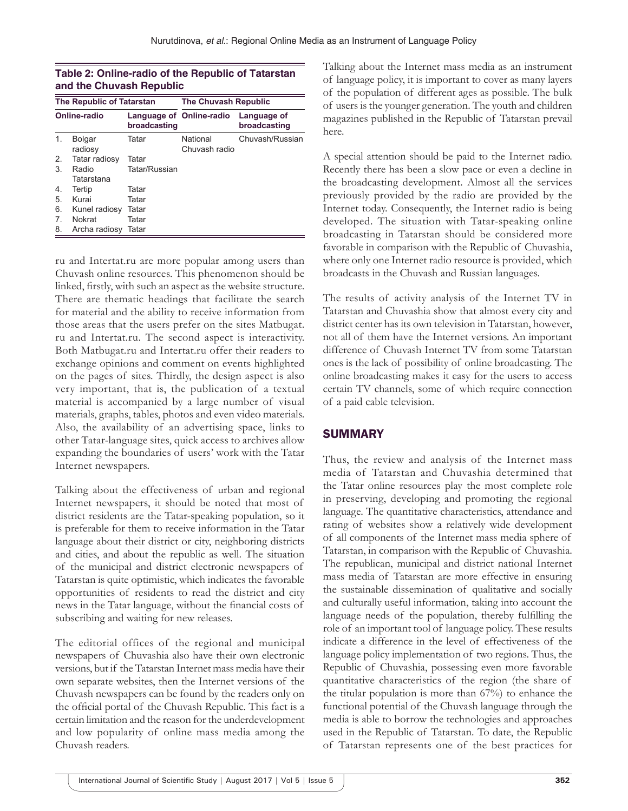| Table 2: Online-radio of the Republic of Tatarstan |
|----------------------------------------------------|
| and the Chuvash Republic                           |

| <b>The Republic of Tatarstan</b> |                          |                                          | <b>The Chuvash Republic</b> |                             |  |
|----------------------------------|--------------------------|------------------------------------------|-----------------------------|-----------------------------|--|
| Online-radio                     |                          | Language of Online-radio<br>broadcasting |                             | Language of<br>broadcasting |  |
| 1.                               | <b>Bolgar</b><br>radiosy | Tatar                                    | National<br>Chuvash radio   | Chuvash/Russian             |  |
| 2.                               | Tatar radiosy            | Tatar                                    |                             |                             |  |
| 3.                               | Radio<br>Tatarstana      | Tatar/Russian                            |                             |                             |  |
| 4.                               | Tertip                   | Tatar                                    |                             |                             |  |
| 5.                               | Kurai                    | Tatar                                    |                             |                             |  |
| 6.                               | Kunel radiosy            | Tatar                                    |                             |                             |  |
| 7.                               | <b>Nokrat</b>            | Tatar                                    |                             |                             |  |
| 8.                               | Archa radiosy            | Tatar                                    |                             |                             |  |

ru and Intertat.ru are more popular among users than Chuvash online resources. This phenomenon should be linked, firstly, with such an aspect as the website structure. There are thematic headings that facilitate the search for material and the ability to receive information from those areas that the users prefer on the sites Matbugat. ru and Intertat.ru. The second aspect is interactivity. Both Matbugat.ru and Intertat.ru offer their readers to exchange opinions and comment on events highlighted on the pages of sites. Thirdly, the design aspect is also very important, that is, the publication of a textual material is accompanied by a large number of visual materials, graphs, tables, photos and even video materials. Also, the availability of an advertising space, links to other Tatar-language sites, quick access to archives allow expanding the boundaries of users' work with the Tatar Internet newspapers.

Talking about the effectiveness of urban and regional Internet newspapers, it should be noted that most of district residents are the Tatar-speaking population, so it is preferable for them to receive information in the Tatar language about their district or city, neighboring districts and cities, and about the republic as well. The situation of the municipal and district electronic newspapers of Tatarstan is quite optimistic, which indicates the favorable opportunities of residents to read the district and city news in the Tatar language, without the financial costs of subscribing and waiting for new releases.

The editorial offices of the regional and municipal newspapers of Chuvashia also have their own electronic versions, but if the Tatarstan Internet mass media have their own separate websites, then the Internet versions of the Chuvash newspapers can be found by the readers only on the official portal of the Chuvash Republic. This fact is a certain limitation and the reason for the underdevelopment and low popularity of online mass media among the Chuvash readers.

Talking about the Internet mass media as an instrument of language policy, it is important to cover as many layers of the population of different ages as possible. The bulk of users is the younger generation. The youth and children magazines published in the Republic of Tatarstan prevail here.

A special attention should be paid to the Internet radio. Recently there has been a slow pace or even a decline in the broadcasting development. Almost all the services previously provided by the radio are provided by the Internet today. Consequently, the Internet radio is being developed. The situation with Tatar-speaking online broadcasting in Tatarstan should be considered more favorable in comparison with the Republic of Chuvashia, where only one Internet radio resource is provided, which broadcasts in the Chuvash and Russian languages.

The results of activity analysis of the Internet TV in Tatarstan and Chuvashia show that almost every city and district center has its own television in Tatarstan, however, not all of them have the Internet versions. An important difference of Chuvash Internet TV from some Tatarstan ones is the lack of possibility of online broadcasting. The online broadcasting makes it easy for the users to access certain TV channels, some of which require connection of a paid cable television.

# SUMMARY

Thus, the review and analysis of the Internet mass media of Tatarstan and Chuvashia determined that the Tatar online resources play the most complete role in preserving, developing and promoting the regional language. The quantitative characteristics, attendance and rating of websites show a relatively wide development of all components of the Internet mass media sphere of Tatarstan, in comparison with the Republic of Chuvashia. The republican, municipal and district national Internet mass media of Tatarstan are more effective in ensuring the sustainable dissemination of qualitative and socially and culturally useful information, taking into account the language needs of the population, thereby fulfilling the role of an important tool of language policy. These results indicate a difference in the level of effectiveness of the language policy implementation of two regions. Thus, the Republic of Chuvashia, possessing even more favorable quantitative characteristics of the region (the share of the titular population is more than 67%) to enhance the functional potential of the Chuvash language through the media is able to borrow the technologies and approaches used in the Republic of Tatarstan. To date, the Republic of Tatarstan represents one of the best practices for